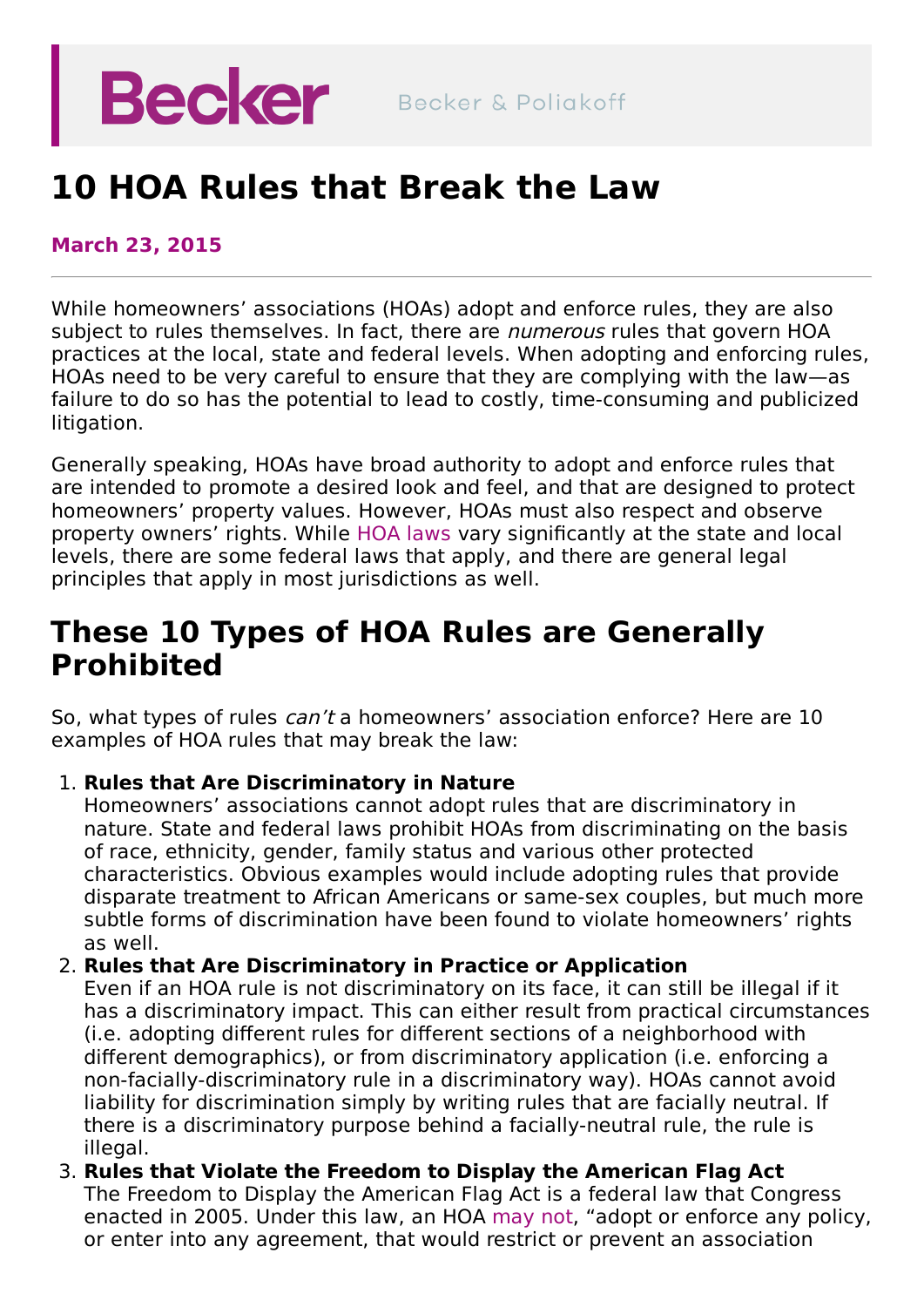# **Becker**

## **10 HOA Rules that Break the Law**

#### **March 23, 2015**

While homeowners' associations (HOAs) adopt and enforce rules, they are also subject to rules themselves. In fact, there are *numerous* rules that govern HOA practices at the local, state and federal levels. When adopting and enforcing rules, HOAs need to be very careful to ensure that they are complying with the law—as failure to do so has the potential to lead to costly, time-consuming and publicized litigation.

Generally speaking, HOAs have broad authority to adopt and enforce rules that are intended to promote a desired look and feel, and that are designed to protect homeowners' property values. However, HOAs must also respect and observe property owners' rights. While HOA [laws](https://beckerlawyers.com/practices/florida-community-association/florida-homeowner-association-lawyers/) vary significantly at the state and local levels, there are some federal laws that apply, and there are general legal principles that apply in most jurisdictions as well.

## **These 10 Types of HOA Rules are Generally Prohibited**

So, what types of rules *can't* a homeowners' association enforce? Here are 10 examples of HOA rules that may break the law:

#### 1. **Rules that Are Discriminatory in Nature**

Homeowners' associations cannot adopt rules that are discriminatory in nature. State and federal laws prohibit HOAs from discriminating on the basis of race, ethnicity, gender, family status and various other protected characteristics. Obvious examples would include adopting rules that provide disparate treatment to African Americans or same-sex couples, but much more subtle forms of discrimination have been found to violate homeowners' rights as well.

#### 2. **Rules that Are Discriminatory in Practice or Application**

Even if an HOA rule is not discriminatory on its face, it can still be illegal if it has a discriminatory impact. This can either result from practical circumstances (i.e. adopting different rules for different sections of a neighborhood with different demographics), or from discriminatory application (i.e. enforcing a non-facially-discriminatory rule in a discriminatory way). HOAs cannot avoid liability for discrimination simply by writing rules that are facially neutral. If there is a discriminatory purpose behind a facially-neutral rule, the rule is illegal.

3. **Rules that Violate the Freedom to Display the American Flag Act** The Freedom to Display the American Flag Act is a federal law that Congress enacted in 2005. Under this law, an HOA [may](https://www.congress.gov/bill/109th-congress/house-bill/42) not, "adopt or enforce any policy, or enter into any agreement, that would restrict or prevent an association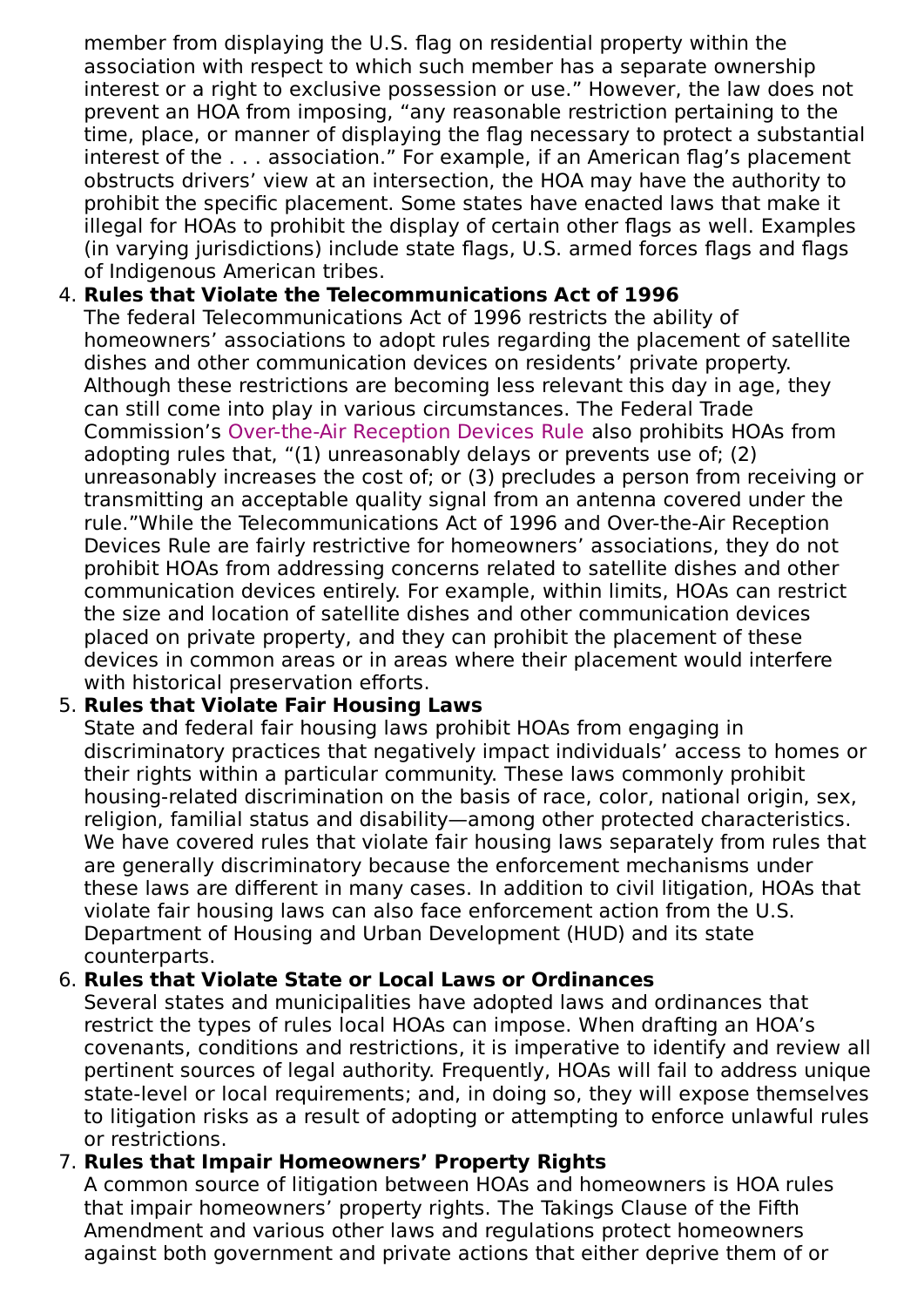member from displaying the U.S. flag on residential property within the association with respect to which such member has a separate ownership interest or a right to exclusive possession or use." However, the law does not prevent an HOA from imposing, "any reasonable restriction pertaining to the time, place, or manner of displaying the flag necessary to protect a substantial interest of the . . . association." For example, if an American flag's placement obstructs drivers' view at an intersection, the HOA may have the authority to prohibit the specific placement. Some states have enacted laws that make it illegal for HOAs to prohibit the display of certain other flags as well. Examples (in varying jurisdictions) include state flags, U.S. armed forces flags and flags of Indigenous American tribes.

#### 4. **Rules that Violate the Telecommunications Act of 1996**

The federal Telecommunications Act of 1996 restricts the ability of homeowners' associations to adopt rules regarding the placement of satellite dishes and other communication devices on residents' private property. Although these restrictions are becoming less relevant this day in age, they can still come into play in various circumstances. The Federal Trade Commission's [Over-the-Air](https://www.fcc.gov/media/over-air-reception-devices-rule) Reception Devices Rule also prohibits HOAs from adopting rules that, "(1) unreasonably delays or prevents use of; (2) unreasonably increases the cost of; or (3) precludes a person from receiving or transmitting an acceptable quality signal from an antenna covered under the rule."While the Telecommunications Act of 1996 and Over-the-Air Reception Devices Rule are fairly restrictive for homeowners' associations, they do not prohibit HOAs from addressing concerns related to satellite dishes and other communication devices entirely. For example, within limits, HOAs can restrict the size and location of satellite dishes and other communication devices placed on private property, and they can prohibit the placement of these devices in common areas or in areas where their placement would interfere with historical preservation efforts.

#### 5. **Rules that Violate Fair Housing Laws**

State and federal fair housing laws prohibit HOAs from engaging in discriminatory practices that negatively impact individuals' access to homes or their rights within a particular community. These laws commonly prohibit housing-related discrimination on the basis of race, color, national origin, sex, religion, familial status and disability—among other protected characteristics. We have covered rules that violate fair housing laws separately from rules that are generally discriminatory because the enforcement mechanisms under these laws are different in many cases. In addition to civil litigation, HOAs that violate fair housing laws can also face enforcement action from the U.S. Department of Housing and Urban Development (HUD) and its state counterparts.

#### 6. **Rules that Violate State or Local Laws or Ordinances**

Several states and municipalities have adopted laws and ordinances that restrict the types of rules local HOAs can impose. When drafting an HOA's covenants, conditions and restrictions, it is imperative to identify and review all pertinent sources of legal authority. Frequently, HOAs will fail to address unique state-level or local requirements; and, in doing so, they will expose themselves to litigation risks as a result of adopting or attempting to enforce unlawful rules or restrictions.

#### 7. **Rules that Impair Homeowners' Property Rights**

A common source of litigation between HOAs and homeowners is HOA rules that impair homeowners' property rights. The Takings Clause of the Fifth Amendment and various other laws and regulations protect homeowners against both government and private actions that either deprive them of or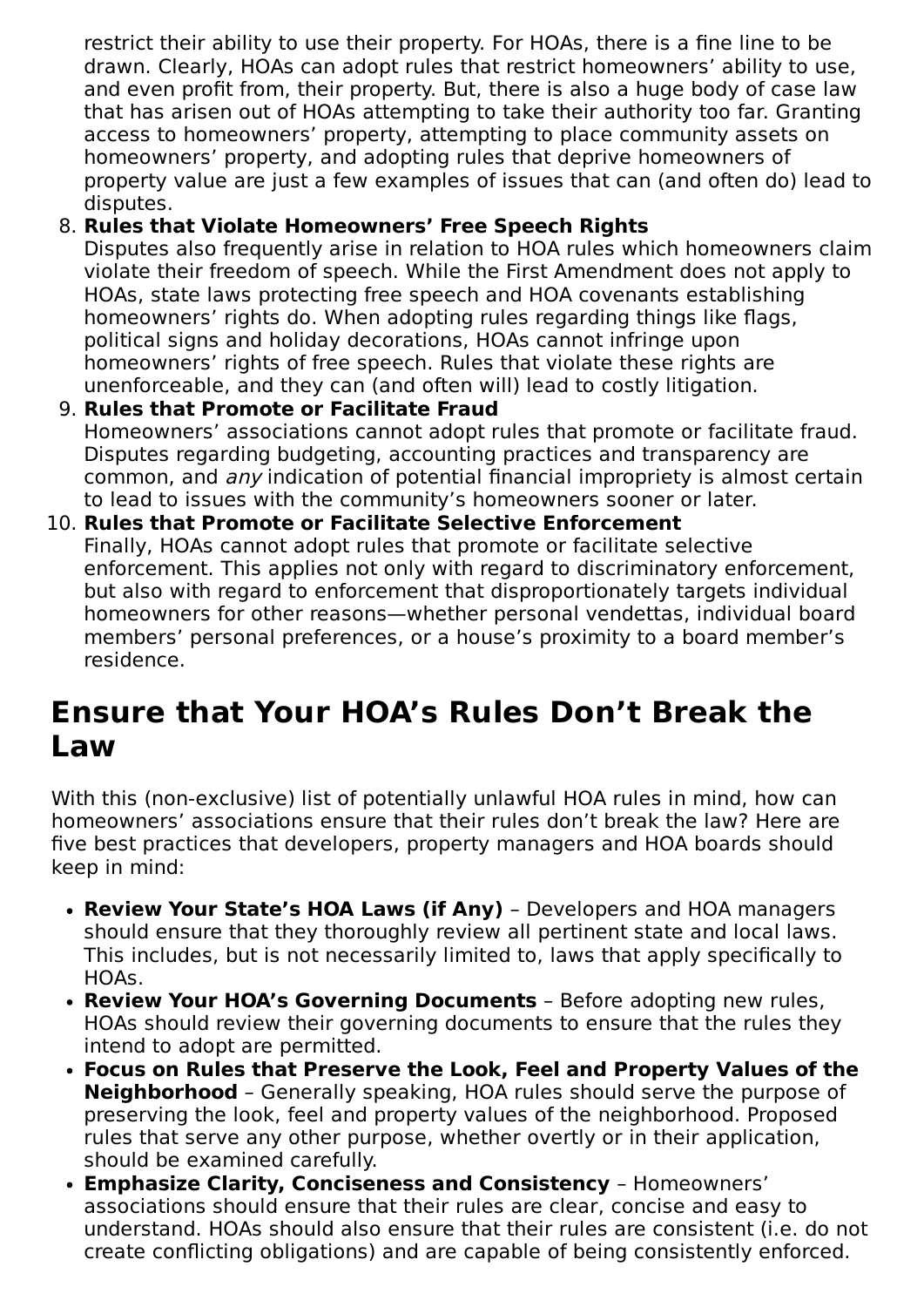restrict their ability to use their property. For HOAs, there is a fine line to be drawn. Clearly, HOAs can adopt rules that restrict homeowners' ability to use, and even profit from, their property. But, there is also a huge body of case law that has arisen out of HOAs attempting to take their authority too far. Granting access to homeowners' property, attempting to place community assets on homeowners' property, and adopting rules that deprive homeowners of property value are just a few examples of issues that can (and often do) lead to disputes.

#### 8. **Rules that Violate Homeowners' Free Speech Rights**

Disputes also frequently arise in relation to HOA rules which homeowners claim violate their freedom of speech. While the First Amendment does not apply to HOAs, state laws protecting free speech and HOA covenants establishing homeowners' rights do. When adopting rules regarding things like flags, political signs and holiday decorations, HOAs cannot infringe upon homeowners' rights of free speech. Rules that violate these rights are unenforceable, and they can (and often will) lead to costly litigation.

#### 9. **Rules that Promote or Facilitate Fraud** Homeowners' associations cannot adopt rules that promote or facilitate fraud. Disputes regarding budgeting, accounting practices and transparency are common, and any indication of potential financial impropriety is almost certain to lead to issues with the community's homeowners sooner or later.

#### 10. **Rules that Promote or Facilitate Selective Enforcement** Finally, HOAs cannot adopt rules that promote or facilitate selective enforcement. This applies not only with regard to discriminatory enforcement, but also with regard to enforcement that disproportionately targets individual homeowners for other reasons—whether personal vendettas, individual board members' personal preferences, or a house's proximity to a board member's residence.

## **Ensure that Your HOA's Rules Don't Break the Law**

With this (non-exclusive) list of potentially unlawful HOA rules in mind, how can homeowners' associations ensure that their rules don't break the law? Here are five best practices that developers, property managers and HOA boards should keep in mind:

- **Review Your State's HOA Laws (if Any)** Developers and HOA managers should ensure that they thoroughly review all pertinent state and local laws. This includes, but is not necessarily limited to, laws that apply specifically to HOAs.
- **Review Your HOA's Governing Documents** Before adopting new rules, HOAs should review their governing documents to ensure that the rules they intend to adopt are permitted.
- **Focus on Rules that Preserve the Look, Feel and Property Values of the Neighborhood** – Generally speaking, HOA rules should serve the purpose of preserving the look, feel and property values of the neighborhood. Proposed rules that serve any other purpose, whether overtly or in their application, should be examined carefully.
- **Emphasize Clarity, Conciseness and Consistency** Homeowners' associations should ensure that their rules are clear, concise and easy to understand. HOAs should also ensure that their rules are consistent (i.e. do not create conflicting obligations) and are capable of being consistently enforced.